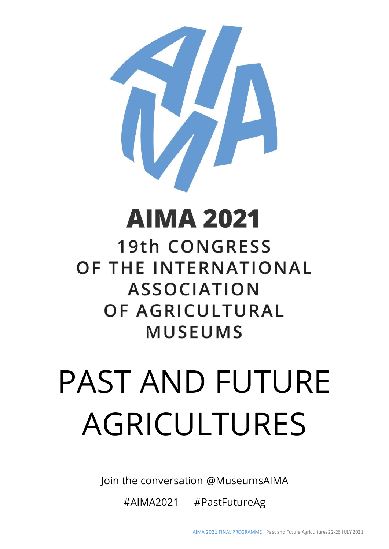

# **AIMA 2021**

**19th CONGRESS** OF THE INTERNATIONAL **ASSOCIATION** OF AGRICULTURAL **MUSEUMS** 

# PAST AND FUTURE AGRICULTURES

Join the conversation @MuseumsAIMA

#AIMA2021 #PastFutureAg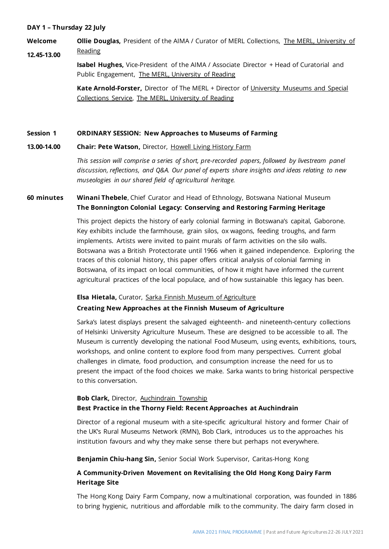# **DAY 1 – Thursday 22 July**

**Welcome 12.45-13.00 Ollie Douglas,** President of the AIMA / Curator of MERL Collections, [The MERL, University of](https://merl.reading.ac.uk/)  [Reading](https://merl.reading.ac.uk/)

> **Isabel Hughes,** Vice-President of the AIMA / Associate Director + Head of Curatorial and Public Engagement, [The MERL, University of Reading](https://merl.reading.ac.uk/)

**Kate Arnold-Forster,** Director of The MERL + Director of [University Museums and Special](https://collections.reading.ac.uk/special-collections/)  [Collections Service,](https://collections.reading.ac.uk/special-collections/) [The MERL, University of Reading](https://merl.reading.ac.uk/)

### **Session 1 ORDINARY SESSION: New Approaches to Museums of Farming**

### **13.00-14.00 Chair: Pete Watson,** Director, [Howell Living History Farm](https://howellfarm.org/)

*This session will comprise a series of short, pre-recorded papers, followed by livestream panel discussion, reflections, and Q&A. Our panel of experts share insights and ideas relating to new museologies in our shared field of agricultural heritage.*

# **60 minutes Winani Thebele**, Chief Curator and Head of Ethnology, Botswana National Museum **The Bonnington Colonial Legacy: Conserving and Restoring Farming Heritage**

This project depicts the history of early colonial farming in Botswana's capital, Gaborone. Key exhibits include the farmhouse, grain silos, ox wagons, feeding troughs, and farm implements. Artists were invited to paint murals of farm activities on the silo walls. Botswana was a British Protectorate until 1966 when it gained independence. Exploring the traces of this colonial history, this paper offers critical analysis of colonial farming in Botswana, of its impact on local communities, of how it might have informed the current agricultural practices of the local populace, and of how sustainable this legacy has been.

### **Elsa Hietala,** Curator, [Sarka Finnish Museum of Agriculture](https://www.sarka.fi/)

# **Creating New Approaches at the Finnish Museum of Agriculture**

Sarka's latest displays present the salvaged eighteenth- and nineteenth-century collections of Helsinki University Agriculture Museum. These are designed to be accessible to all. The Museum is currently developing the national Food Museum, using events, exhibitions, tours, workshops, and online content to explore food from many perspectives. Current global challenges in climate, food production, and consumption increase the need for us to present the impact of the food choices we make. Sarka wants to bring historical perspective to this conversation.

# **Bob Clark,** Director, [Auchindrain Township](https://www.auchindrain.org.uk/) **Best Practice in the Thorny Field: Recent Approaches at Auchindrain**

Director of a regional museum with a site-specific agricultural history and former Chair of the UK's Rural Museums Network (RMN), Bob Clark, introduces us to the approaches his institution favours and why they make sense there but perhaps not everywhere.

## **Benjamin Chiu-hang Sin,** Senior Social Work Supervisor, Caritas-Hong Kong

# **A Community-Driven Movement on Revitalising the Old Hong Kong Dairy Farm Heritage Site**

The Hong Kong Dairy Farm Company, now a multinational corporation, was founded in 1886 to bring hygienic, nutritious and affordable milk to the community. The dairy farm closed in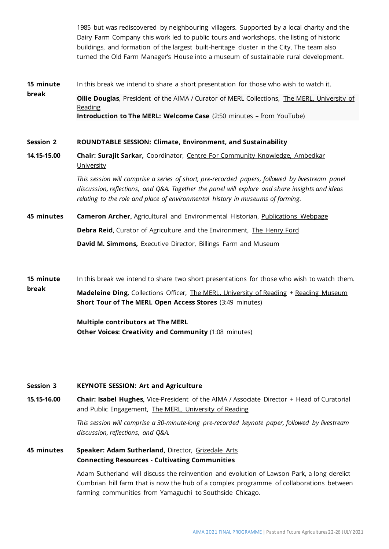1985 but was rediscovered by neighbouring villagers. Supported by a local charity and the Dairy Farm Company this work led to public tours and workshops, the listing of historic buildings, and formation of the largest built-heritage cluster in the City. The team also turned the Old Farm Manager's House into a museum of sustainable rural development.

**15 minute break** In this break we intend to share a short presentation for those who wish to watch it. **Ollie Douglas**, President of the AIMA / Curator of MERL Collections, [The MERL, University of](https://merl.reading.ac.uk/)  [Reading](https://merl.reading.ac.uk/) **Introduction to The MERL: Welcome Case** (2:50 minutes – from YouTube)

### **Session 2 ROUNDTABLE SESSION: Climate, Environment, and Sustainability**

**14.15-15.00 Chair: Surajit Sarkar,** Coordinator, [Centre For Community Knowledge, Ambedkar](https://aud.ac.in/centre-for-community-knowledge)  **[University](https://aud.ac.in/centre-for-community-knowledge)** 

> *This session will comprise a series of short, pre-recorded papers, followed by livestream panel discussion, reflections, and Q&A. Together the panel will explore and share insights and ideas relating to the role and place of environmental history in museums of farming.*

- **45 minutes Cameron Archer,** Agricultural and Environmental Historian, [Publications Webpage](https://cameronarcher.com.au/) **Debra Reid,** Curator of Agriculture and the Environment, The [Henry Ford](https://www.thehenryford.org/) **David M. Simmons, Executive Director, [Billings Farm and Museum](https://billingsfarm.org/)**
- **15 minute break** In this break we intend to share two short presentations for those who wish to watch them. **Madeleine Ding, Collections Officer, [The MERL, University of Reading](https://merl.reading.ac.uk/) [+ Reading Museum](https://www.readingmuseum.org.uk/)**

**Multiple contributors at The MERL** 

**Short Tour of The MERL Open Access Stores** (3:49 minutes)

**Other Voices: Creativity and Community** (1:08 minutes)

### **Session 3 KEYNOTE SESSION: Art and Agriculture**

**15.15-16.00 Chair: Isabel Hughes,** Vice-President of the AIMA / Associate Director + Head of Curatorial and Public Engagement, [The MERL, University of Reading](https://merl.reading.ac.uk/)

> *This session will comprise a 30-minute-long pre-recorded keynote paper, followed by livestream discussion, reflections, and Q&A.*

**45 minutes Speaker: Adam Sutherland,** Director, [Grizedale Arts](https://www.grizedale.org/) **Connecting Resources - Cultivating Communities**

> Adam Sutherland will discuss the reinvention and evolution of Lawson Park, a long derelict Cumbrian hill farm that is now the hub of a complex programme of collaborations between farming communities from Yamaguchi to Southside Chicago.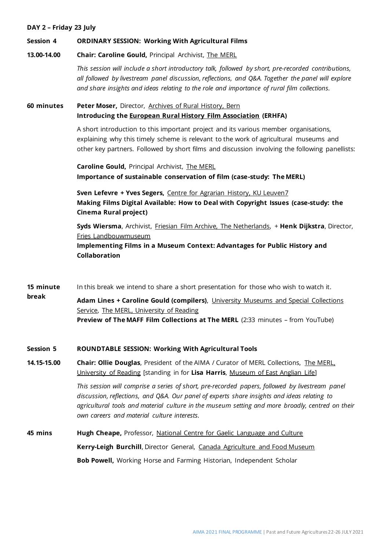## **DAY 2 – Friday 23 July**

### **Session 4 ORDINARY SESSION: Working With Agricultural Films**

**13.00-14.00 Chair: Caroline Gould,** Principal Archivist, [The MERL](https://merl.reading.ac.uk/)

> *This session will include a short introductory talk, followed by short, pre-recorded contributions, all followed by livestream panel discussion, reflections, and Q&A. Together the panel will explore and share insights and ideas relating to the role and importance of rural film collections.*

**60 minutes Peter Moser,** Director, [Archives of Rural History, Bern](http://www.ruralhistory.ie/) **Introducing the [European Rural History Film Association](https://ruralfilms.eu/) (ERHFA)**

> A short introduction to this important project and its various member organisations, explaining why this timely scheme is relevant to the work of agricultural museums and other key partners. Followed by short films and discussion involving the following panellists:

**Caroline Gould,** Principal Archivist, [The MERL](https://merl.reading.ac.uk/) **Importance of sustainable conservation of film (case-study: The MERL)**

**Sven Lefevre + Yves Segers,** [Centre for Agrarian History, KU Leuven7](https://www.kuleuven.be/icag/) **Making Films Digital Available: How to Deal with Copyright Issues (case-study: the Cinema Rural project)**

**Syds Wiersma**, Archivist, Friesian Film [Archive, The Netherlands,](http://friesfilmarchief.nl/) + **Henk Dijkstra**, Director, [Fries Landbouwmuseum](https://landbouwmuseumfriesland.nl/)

**Implementing Films in a Museum Context: Advantages for Public History and Collaboration**

**15 minute**  In this break we intend to share a short presentation for those who wish to watch it.

**break Adam Lines + Caroline Gould (compilers)**, [University Museums and Special Collections](https://collections.reading.ac.uk/special-collections/)  [Service,](https://collections.reading.ac.uk/special-collections/) [The MERL, University of Reading](https://merl.reading.ac.uk/) **Preview of The MAFF Film Collections at The MERL** (2:33 minutes – from YouTube)

### **Session 5 ROUNDTABLE SESSION: Working With Agricultural Tools**

**14.15-15.00 Chair: Ollie Douglas**, President of the AIMA / Curator of MERL Collections, [The MERL,](https://merl.reading.ac.uk/)  [University of Reading](https://merl.reading.ac.uk/) [standing in for **Lisa Harris**, [Museum of East Anglian Life\]](http://eastanglianlife.org.uk/)

> *This session will comprise a series of short, pre-recorded papers, followed by livestream panel discussion, reflections, and Q&A. Our panel of experts share insights and ideas relating to agricultural tools and material culture in the museum setting and more broadly, centred on their own careers and material culture interests.*

**45 mins Hugh Cheape,** Professor, [National Centre for Gaelic Language and Culture](http://www.smo.uhi.ac.uk/en/colaiste/welcome) **Kerry-Leigh Burchill**, Director General, [Canada Agriculture and Food Museum](https://ingeniumcanada.org/cafm) **Bob Powell,** Working Horse and Farming Historian, Independent Scholar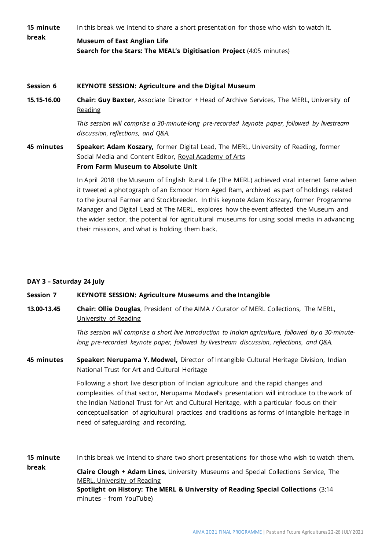| 15 minute<br>break | In this break we intend to share a short presentation for those who wish to watch it.                                                                                                                                                                                                                                                                                                                                                                                                                                       |
|--------------------|-----------------------------------------------------------------------------------------------------------------------------------------------------------------------------------------------------------------------------------------------------------------------------------------------------------------------------------------------------------------------------------------------------------------------------------------------------------------------------------------------------------------------------|
|                    | <b>Museum of East Anglian Life</b><br>Search for the Stars: The MEAL's Digitisation Project (4:05 minutes)                                                                                                                                                                                                                                                                                                                                                                                                                  |
| Session 6          | <b>KEYNOTE SESSION: Agriculture and the Digital Museum</b>                                                                                                                                                                                                                                                                                                                                                                                                                                                                  |
| 15.15-16.00        | <b>Chair: Guy Baxter, Associate Director + Head of Archive Services, The MERL, University of</b><br>Reading                                                                                                                                                                                                                                                                                                                                                                                                                 |
|                    | This session will comprise a 30-minute-long pre-recorded keynote paper, followed by livestream<br>discussion, reflections, and Q&A.                                                                                                                                                                                                                                                                                                                                                                                         |
| 45 minutes         | Speaker: Adam Koszary, former Digital Lead, The MERL, University of Reading, former<br>Social Media and Content Editor, Royal Academy of Arts<br>From Farm Museum to Absolute Unit                                                                                                                                                                                                                                                                                                                                          |
|                    | In April 2018 the Museum of English Rural Life (The MERL) achieved viral internet fame when<br>it tweeted a photograph of an Exmoor Horn Aged Ram, archived as part of holdings related<br>to the journal Farmer and Stockbreeder. In this keynote Adam Koszary, former Programme<br>Manager and Digital Lead at The MERL, explores how the event affected the Museum and<br>the wider sector, the potential for agricultural museums for using social media in advancing<br>their missions, and what is holding them back. |

# **DAY 3 – Saturday 24 July**

### **Session 7 KEYNOTE SESSION: Agriculture Museums and the Intangible**

**13.00-13.45 Chair: Ollie Douglas**, President of the AIMA / Curator of MERL Collections, [The MERL,](https://merl.reading.ac.uk/)  [University of Reading](https://merl.reading.ac.uk/)

> *This session will comprise a short live introduction to Indian agriculture, followed by a 30-minutelong pre-recorded keynote paper, followed by livestream discussion, reflections, and Q&A.*

**45 minutes Speaker: Nerupama Y. Modwel,** Director of Intangible Cultural Heritage Division, Indian National Trust for Art and Cultural Heritage

> Following a short live description of Indian agriculture and the rapid changes and complexities of that sector, Nerupama Modwel's presentation will introduce to the work of the Indian National Trust for Art and Cultural Heritage, with a particular focus on their conceptualisation of agricultural practices and traditions as forms of intangible heritage in need of safeguarding and recording.

**15 minute break** In this break we intend to share two short presentations for those who wish to watch them. **Claire Clough + Adam Lines**, [University Museums and Special Collections Service,](https://collections.reading.ac.uk/special-collections/) [The](https://merl.reading.ac.uk/)  [MERL, University of Reading](https://merl.reading.ac.uk/) **Spotlight on History: The MERL & University of Reading Special Collections** (3:14 minutes – from YouTube)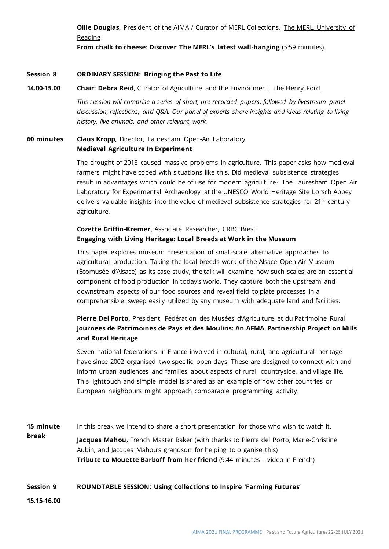**Ollie Douglas,** President of the AIMA / Curator of MERL Collections, [The MERL, University of](https://merl.reading.ac.uk/)  [Reading](https://merl.reading.ac.uk/)

**From chalk to cheese: Discover The MERL's latest wall-hanging** (5:59 minutes)

### **Session 8 ORDINARY SESSION: Bringing the Past to Life**

### **14.00-15.00 Chair: Debra Reid,** Curator of Agriculture and the Environment, The [Henry Ford](https://www.thehenryford.org/)

*This session will comprise a series of short, pre-recorded papers, followed by livestream panel discussion, reflections, and Q&A. Our panel of experts share insights and ideas relating to living history, live animals, and other relevant work.*

# **60 minutes Claus Kropp,** Director, [Lauresham Open-Air Laboratory](https://www.kloster-lorsch.de/en/lauresham0/allgemeineinformationen/) **Medieval Agriculture In Experiment**

The drought of 2018 caused massive problems in agriculture. This paper asks how medieval farmers might have coped with situations like this. Did medieval subsistence strategies result in advantages which could be of use for modern agriculture? The Lauresham Open Air Laboratory for Experimental Archaeology at the UNESCO World Heritage Site Lorsch Abbey delivers valuable insights into the value of medieval subsistence strategies for  $21^{st}$  century agriculture.

# **Cozette Griffin-Kremer,** Associate Researcher, CRBC Brest **Engaging with Living Heritage: Local Breeds at Work in the Museum**

This paper explores museum presentation of small-scale alternative approaches to agricultural production. Taking the local breeds work of the Alsace Open Air Museum (Écomusée d'Alsace) as its case study, the talk will examine how such scales are an essential component of food production in today's world. They capture both the upstream and downstream aspects of our food sources and reveal field to plate processes in a comprehensible sweep easily utilized by any museum with adequate land and facilities.

# **Pierre Del Porto,** President, Fédération des Musées d'Agriculture et du Patrimoine Rural **Journees de Patrimoines de Pays et des Moulins: An AFMA Partnership Project on Mills and Rural Heritage**

Seven national federations in France involved in cultural, rural, and agricultural heritage have since 2002 organised two specific open days. These are designed to connect with and inform urban audiences and families about aspects of rural, countryside, and village life. This lighttouch and simple model is shared as an example of how other countries or European neighbours might approach comparable programming activity.

**15 minute break** In this break we intend to share a short presentation for those who wish to watch it. **Jacques Mahou**, French Master Baker (with thanks to Pierre del Porto, Marie-Christine Aubin, and Jacques Mahou's grandson for helping to organise this) **Tribute to Mouette Barboff from her friend** (9:44 minutes – video in French)

### **Session 9 ROUNDTABLE SESSION: Using Collections to Inspire 'Farming Futures'**

**15.15-16.00**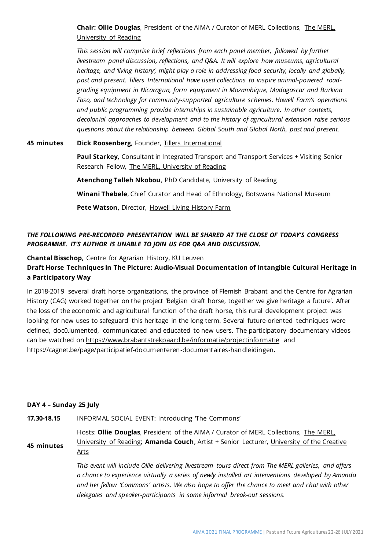**Chair: Ollie Douglas**, President of the AIMA / Curator of MERL Collections, [The MERL,](https://merl.reading.ac.uk/)  [University of Reading](https://merl.reading.ac.uk/)

*This session will comprise brief reflections from each panel member, followed by further livestream panel discussion, reflections, and Q&A. It will explore how museums, agricultural heritage, and 'living history', might play a role in addressing food security, locally and globally, past and present. Tillers International have used collections to inspire animal-powered roadgrading equipment in Nicaragua, farm equipment in Mozambique, Madagascar and Burkina Faso, and technology for community-supported agriculture schemes. Howell Farm's operations and public programming provide internships in sustainable agriculture. In other contexts, decolonial approaches to development and to the history of agricultural extension raise serious questions about the relationship between Global South and Global North, past and present.*

### **45 minutes Dick Roosenberg**, Founder, [Tillers International](https://www.tillersinternational.org/)

**o** Research Fellow, [The MERL, University of Reading](https://merl.reading.ac.uk/) **Paul Starkey,** Consultant in Integrated Transport and Transport Services + Visiting Senior

**a Atenchong Talleh Nkobou**, PhD Candidate, University of Reading

**Winani Thebele**, Chief Curator and Head of Ethnology, Botswana National Museum

**Pete Watson,** Director, [Howell Living History Farm](https://howellfarm.org/)

# *THE FOLLOWING PRE-RECORDED PRESENTATION WILL BE SHARED AT THE CLOSE OF TODAY'S CONGRESS PROGRAMME. IT'S AUTHOR IS UNABLE TO JOIN US FOR Q&A AND DISCUSSION.*

**Chantal Bisschop,** [Centre for Agrarian History, KU Leuven](https://www.kuleuven.be/icag/)

# **Draft Horse Techniques In The Picture: Audio-Visual Documentation of Intangible Cultural Heritage in a Participatory Way**

In 2018-2019 several draft horse organizations, the province of Flemish Brabant and the Centre for Agrarian History (CAG) worked together on the project 'Belgian draft horse, together we give heritage a future'. After the loss of the economic and agricultural function of the draft horse, this rural development project was looking for new uses to safeguard this heritage in the long term. Several future-oriented techniques were defined, doc0.lumented, communicated and educated to new users. The participatory documentary videos can be watched on [https://www.brabantstrekpaard.be/informatie/projectinformatie](https://eur03.safelinks.protection.outlook.com/?url=https%3A%2F%2Fwww.brabantstrekpaard.be%2Finformatie%2Fprojectinformatie&data=04%7C01%7Co.a.douglas%40reading.ac.uk%7Ceef7df1451d240d0ae8808d9349749ea%7C4ffa3bc4ecfc48c09080f5e43ff90e5f%7C0%7C0%7C637598646966073387%7CUnknown%7CTWFpbGZsb3d8eyJWIjoiMC4wLjAwMDAiLCJQIjoiV2luMzIiLCJBTiI6Ik1haWwiLCJXVCI6Mn0%3D%7C1000&sdata=oTx9JFz0nklB4HsH322clC2ZRtGyKPExap1diC0550k%3D&reserved=0) and [https://cagnet.be/page/participatief-documenteren-documentaires-handleidingen](https://eur03.safelinks.protection.outlook.com/?url=https%3A%2F%2Fcagnet.be%2Fpage%2Fparticipatief-documenteren-documentaires-handleidingen&data=04%7C01%7Co.a.douglas%40reading.ac.uk%7Ceef7df1451d240d0ae8808d9349749ea%7C4ffa3bc4ecfc48c09080f5e43ff90e5f%7C0%7C0%7C637598646966083346%7CUnknown%7CTWFpbGZsb3d8eyJWIjoiMC4wLjAwMDAiLCJQIjoiV2luMzIiLCJBTiI6Ik1haWwiLCJXVCI6Mn0%3D%7C1000&sdata=VnnXJopY0oSyyDatga50j1%2FNYI%2Fyqs5v7qLRR0E%2FZcM%3D&reserved=0)**.**

# **DAY 4 – Sunday 25 July**

**17.30-18.15** INFORMAL SOCIAL EVENT: Introducing 'The Commons'

**45 minutes** Hosts: **Ollie Douglas**, President of the AIMA / Curator of MERL Collections, [The MERL,](https://merl.reading.ac.uk/)  [University of Reading;](https://merl.reading.ac.uk/) **Amanda Couch**, Artist + Senior Lecturer, [University of the Creative](https://www.uca.ac.uk/About-Us/our-staff/amanda-couch/)  [Arts](https://www.uca.ac.uk/About-Us/our-staff/amanda-couch/)

> *This event will include Ollie delivering livestream tours direct from The MERL galleries, and offers a chance to experience virtually a series of newly installed art interventions developed by Amanda and her fellow 'Commons' artists. We also hope to offer the chance to meet and chat with other delegates and speaker-participants in some informal break-out sessions.*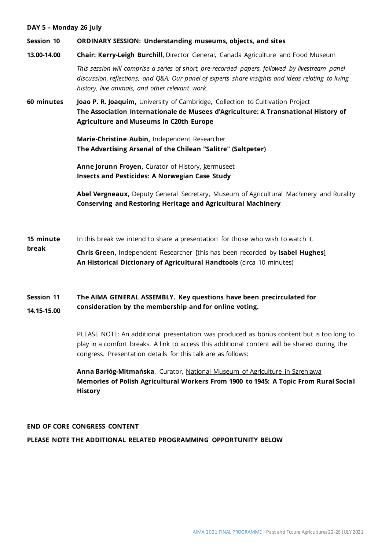### **DAY 5 – Monday 26 July**

### **Session 10 ORDINARY SESSION: Understanding museums, objects, and sites**

### **13.00-14.00 Chair: Kerry-Leigh Burchill**, Director General, [Canada Agriculture and Food Museum](https://ingeniumcanada.org/profiles-executive/kerry-leigh-burchill)

*This session will comprise a series of short, pre-recorded papers, followed by livestream panel discussion, reflections, and Q&A. Our panel of experts share insights and ideas relating to living history, live animals, and other relevant work.*

**60 minutes Joao P. R. Joaquim,** University of Cambridge, [Collection to Cultivation Project](https://www.cultivation.hps.cam.ac.uk/people/joao-p-r-joaquim) **The Association Internationale de Musees d'Agriculture: A Transnational History of Agriculture and Museums in C20th Europe**

> **Marie-Christine Aubin,** Independent Researcher **The Advertising Arsenal of the Chilean "Salitre" (Saltpeter)**

**Anne Jorunn Froyen,** Curator of History, Jærmuseet **Insects and Pesticides: A Norwegian Case Study**

**Abel Vergneaux,** Deputy General Secretary, Museum of Agricultural Machinery and Rurality **Conserving and Restoring Heritage and Agricultural Machinery**

- **15 minute**  In this break we intend to share a presentation for those who wish to watch it.
- **break Chris Green,** Independent Researcher [this has been recorded by **Isabel Hughes**] **An Historical Dictionary of Agricultural Handtools** (circa 10 minutes)

### **Session 11 14.15-15.00 The AIMA GENERAL ASSEMBLY. Key questions have been precirculated for consideration by the membership and for online voting.**

PLEASE NOTE: An additional presentation was produced as bonus content but is too long to play in a comfort breaks. A link to access this additional content will be shared during the congress. Presentation details for this talk are as follows:

**Anna Barłóg-Mitmańska**, Curator, [National Museum of Agriculture in Szreniawa](http://www.muzeum-szreniawa.pl/imuzeum/web/app.php/vortal/) **Memories of Polish Agricultural Workers From 1900 to 1945: A Topic From Rural Social History**

# **END OF CORE CONGRESS CONTENT**

# **PLEASE NOTE THE ADDITIONAL RELATED PROGRAMMING OPPORTUNITY BELOW**